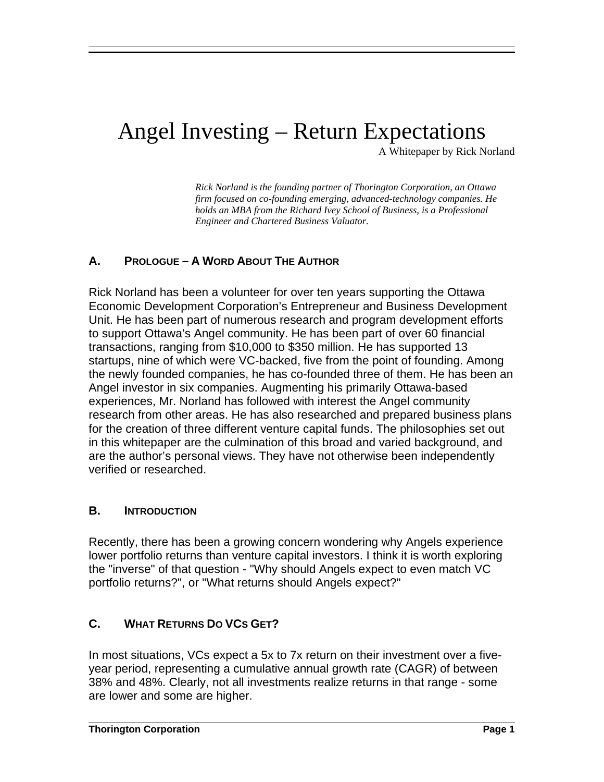# Angel Investing – Return Expectations

A Whitepaper by Rick Norland

*Rick Norland is the founding partner of Thorington Corporation, an Ottawa firm focused on co-founding emerging, advanced-technology companies. He holds an MBA from the Richard Ivey School of Business, is a Professional Engineer and Chartered Business Valuator.* 

## **A. PROLOGUE – A WORD ABOUT THE AUTHOR**

Rick Norland has been a volunteer for over ten years supporting the Ottawa Economic Development Corporation's Entrepreneur and Business Development Unit. He has been part of numerous research and program development efforts to support Ottawa's Angel community. He has been part of over 60 financial transactions, ranging from \$10,000 to \$350 million. He has supported 13 startups, nine of which were VC-backed, five from the point of founding. Among the newly founded companies, he has co-founded three of them. He has been an Angel investor in six companies. Augmenting his primarily Ottawa-based experiences, Mr. Norland has followed with interest the Angel community research from other areas. He has also researched and prepared business plans for the creation of three different venture capital funds. The philosophies set out in this whitepaper are the culmination of this broad and varied background, and are the author's personal views. They have not otherwise been independently verified or researched.

#### **B. INTRODUCTION**

 

Recently, there has been a growing concern wondering why Angels experience lower portfolio returns than venture capital investors. I think it is worth exploring the "inverse" of that question - "Why should Angels expect to even match VC portfolio returns?", or "What returns should Angels expect?"

#### **C. WHAT RETURNS DO VCS GET?**

In most situations, VCs expect a 5x to 7x return on their investment over a fiveyear period, representing a cumulative annual growth rate (CAGR) of between 38% and 48%. Clearly, not all investments realize returns in that range - some are lower and some are higher.

 $\overline{a}$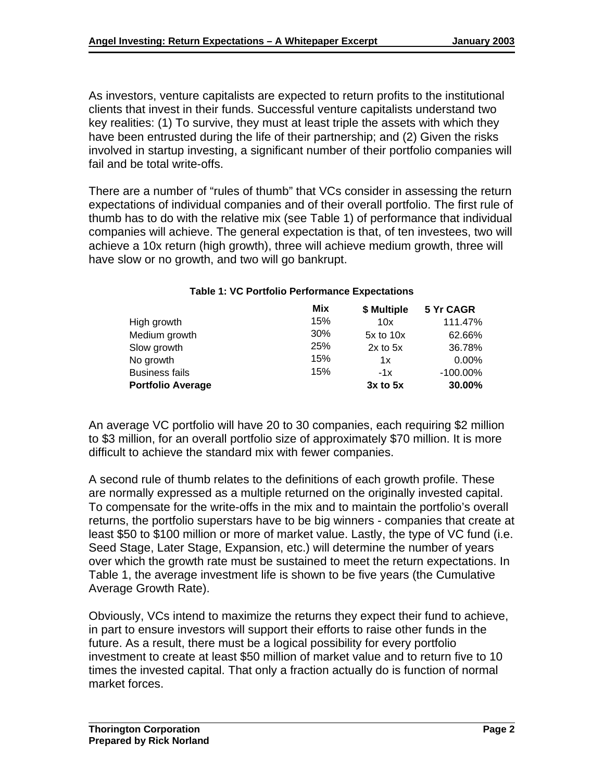As investors, venture capitalists are expected to return profits to the institutional clients that invest in their funds. Successful venture capitalists understand two key realities: (1) To survive, they must at least triple the assets with which they have been entrusted during the life of their partnership; and (2) Given the risks involved in startup investing, a significant number of their portfolio companies will fail and be total write-offs.

There are a number of "rules of thumb" that VCs consider in assessing the return expectations of individual companies and of their overall portfolio. The first rule of thumb has to do with the relative mix (see Table 1) of performance that individual companies will achieve. The general expectation is that, of ten investees, two will achieve a 10x return (high growth), three will achieve medium growth, three will have slow or no growth, and two will go bankrupt.

|                          | Mix | \$ Multiple   | 5 Yr CAGR   |
|--------------------------|-----|---------------|-------------|
| High growth              | 15% | 10x           | 111.47%     |
| Medium growth            | 30% | $5x$ to $10x$ | 62.66%      |
| Slow growth              | 25% | $2x$ to $5x$  | 36.78%      |
| No growth                | 15% | 1x            | $0.00\%$    |
| <b>Business fails</b>    | 15% | $-1x$         | $-100.00\%$ |
| <b>Portfolio Average</b> |     | $3x$ to $5x$  | 30.00%      |

#### **Table 1: VC Portfolio Performance Expectations**

An average VC portfolio will have 20 to 30 companies, each requiring \$2 million to \$3 million, for an overall portfolio size of approximately \$70 million. It is more difficult to achieve the standard mix with fewer companies.

A second rule of thumb relates to the definitions of each growth profile. These are normally expressed as a multiple returned on the originally invested capital. To compensate for the write-offs in the mix and to maintain the portfolio's overall returns, the portfolio superstars have to be big winners - companies that create at least \$50 to \$100 million or more of market value. Lastly, the type of VC fund (i.e. Seed Stage, Later Stage, Expansion, etc.) will determine the number of years over which the growth rate must be sustained to meet the return expectations. In Table 1, the average investment life is shown to be five years (the Cumulative Average Growth Rate).

Obviously, VCs intend to maximize the returns they expect their fund to achieve, in part to ensure investors will support their efforts to raise other funds in the future. As a result, there must be a logical possibility for every portfolio investment to create at least \$50 million of market value and to return five to 10 times the invested capital. That only a fraction actually do is function of normal market forces.

 $\overline{a}$